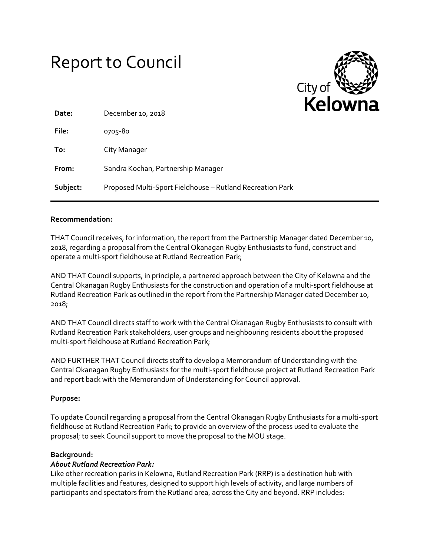# Report to Council



| Date:    | December 10, 2018                                         |
|----------|-----------------------------------------------------------|
| File:    | 0705-80                                                   |
| To:      | City Manager                                              |
| From:    | Sandra Kochan, Partnership Manager                        |
| Subject: | Proposed Multi-Sport Fieldhouse - Rutland Recreation Park |

## **Recommendation:**

THAT Council receives, for information, the report from the Partnership Manager dated December 10, 2018, regarding a proposal from the Central Okanagan Rugby Enthusiasts to fund, construct and operate a multi-sport fieldhouse at Rutland Recreation Park;

AND THAT Council supports, in principle, a partnered approach between the City of Kelowna and the Central Okanagan Rugby Enthusiasts for the construction and operation of a multi-sport fieldhouse at Rutland Recreation Park as outlined in the report from the Partnership Manager dated December 10, 2018;

AND THAT Council directs staff to work with the Central Okanagan Rugby Enthusiasts to consult with Rutland Recreation Park stakeholders, user groups and neighbouring residents about the proposed multi-sport fieldhouse at Rutland Recreation Park;

AND FURTHER THAT Council directs staff to develop a Memorandum of Understanding with the Central Okanagan Rugby Enthusiasts for the multi-sport fieldhouse project at Rutland Recreation Park and report back with the Memorandum of Understanding for Council approval.

# **Purpose:**

To update Council regarding a proposal from the Central Okanagan Rugby Enthusiasts for a multi-sport fieldhouse at Rutland Recreation Park; to provide an overview of the process used to evaluate the proposal; to seek Council support to move the proposal to the MOU stage.

#### **Background:**

# *About Rutland Recreation Park:*

Like other recreation parks in Kelowna, Rutland Recreation Park (RRP) is a destination hub with multiple facilities and features, designed to support high levels of activity, and large numbers of participants and spectators from the Rutland area, across the City and beyond. RRP includes: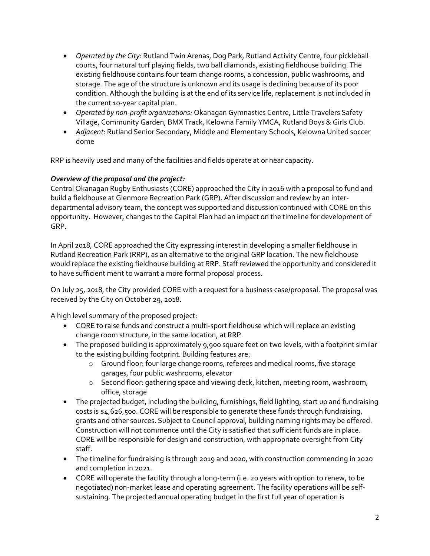- *Operated by the City:* Rutland Twin Arenas, Dog Park, Rutland Activity Centre, four pickleball courts, four natural turf playing fields, two ball diamonds, existing fieldhouse building. The existing fieldhouse contains four team change rooms, a concession, public washrooms, and storage. The age of the structure is unknown and its usage is declining because of its poor condition. Although the building is at the end of its service life, replacement is not included in the current 10-year capital plan.
- *Operated by non-profit organizations:* Okanagan Gymnastics Centre, Little Travelers Safety Village, Community Garden, BMX Track, Kelowna Family YMCA, Rutland Boys & Girls Club.
- *Adjacent:* Rutland Senior Secondary, Middle and Elementary Schools, Kelowna United soccer dome

RRP is heavily used and many of the facilities and fields operate at or near capacity.

# *Overview of the proposal and the project:*

Central Okanagan Rugby Enthusiasts (CORE) approached the City in 2016 with a proposal to fund and build a fieldhouse at Glenmore Recreation Park (GRP). After discussion and review by an interdepartmental advisory team, the concept was supported and discussion continued with CORE on this opportunity. However, changes to the Capital Plan had an impact on the timeline for development of GRP.

In April 2018, CORE approached the City expressing interest in developing a smaller fieldhouse in Rutland Recreation Park (RRP), as an alternative to the original GRP location. The new fieldhouse would replace the existing fieldhouse building at RRP. Staff reviewed the opportunity and considered it to have sufficient merit to warrant a more formal proposal process.

On July 25, 2018, the City provided CORE with a request for a business case/proposal. The proposal was received by the City on October 29, 2018.

A high level summary of the proposed project:

- CORE to raise funds and construct a multi-sport fieldhouse which will replace an existing change room structure, in the same location, at RRP.
- The proposed building is approximately 9,900 square feet on two levels, with a footprint similar to the existing building footprint. Building features are:
	- o Ground floor: four large change rooms, referees and medical rooms, five storage garages, four public washrooms, elevator
	- o Second floor: gathering space and viewing deck, kitchen, meeting room, washroom, office, storage
- The projected budget, including the building, furnishings, field lighting, start up and fundraising costs is \$4,626,500. CORE will be responsible to generate these funds through fundraising, grants and other sources. Subject to Council approval, building naming rights may be offered. Construction will not commence until the City is satisfied that sufficient funds are in place. CORE will be responsible for design and construction, with appropriate oversight from City staff.
- The timeline for fundraising is through 2019 and 2020, with construction commencing in 2020 and completion in 2021.
- CORE will operate the facility through a long-term (i.e. 20 years with option to renew, to be negotiated) non-market lease and operating agreement. The facility operations will be selfsustaining. The projected annual operating budget in the first full year of operation is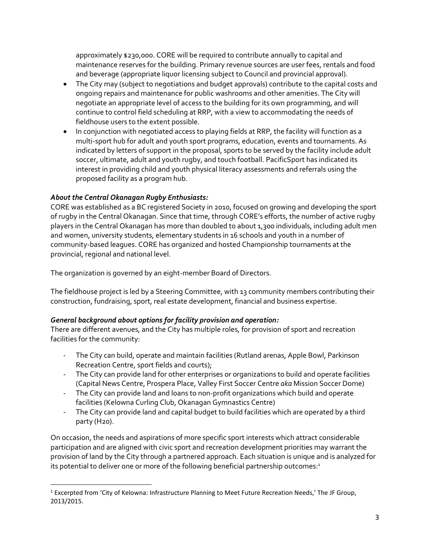approximately \$230,000. CORE will be required to contribute annually to capital and maintenance reserves for the building. Primary revenue sources are user fees, rentals and food and beverage (appropriate liquor licensing subject to Council and provincial approval).

- The City may (subject to negotiations and budget approvals) contribute to the capital costs and ongoing repairs and maintenance for public washrooms and other amenities. The City will negotiate an appropriate level of access to the building for its own programming, and will continue to control field scheduling at RRP, with a view to accommodating the needs of fieldhouse users to the extent possible.
- In conjunction with negotiated access to playing fields at RRP, the facility will function as a multi-sport hub for adult and youth sport programs, education, events and tournaments. As indicated by letters of support in the proposal, sports to be served by the facility include adult soccer, ultimate, adult and youth rugby, and touch football. PacificSport has indicated its interest in providing child and youth physical literacy assessments and referrals using the proposed facility as a program hub.

# *About the Central Okanagan Rugby Enthusiasts:*

l

CORE was established as a BC registered Society in 2010, focused on growing and developing the sport of rugby in the Central Okanagan. Since that time, through CORE's efforts, the number of active rugby players in the Central Okanagan has more than doubled to about 1,300 individuals, including adult men and women, university students, elementary students in 16 schools and youth in a number of community-based leagues. CORE has organized and hosted Championship tournaments at the provincial, regional and national level.

The organization is governed by an eight-member Board of Directors.

The fieldhouse project is led by a Steering Committee, with 13 community members contributing their construction, fundraising, sport, real estate development, financial and business expertise.

# *General background about options for facility provision and operation:*

There are different avenues, and the City has multiple roles, for provision of sport and recreation facilities for the community:

- The City can build, operate and maintain facilities (Rutland arenas, Apple Bowl, Parkinson Recreation Centre, sport fields and courts);
- The City can provide land for other enterprises or organizations to build and operate facilities (Capital News Centre, Prospera Place, Valley First Soccer Centre *aka* Mission Soccer Dome)
- The City can provide land and loans to non-profit organizations which build and operate facilities (Kelowna Curling Club, Okanagan Gymnastics Centre)
- The City can provide land and capital budget to build facilities which are operated by a third party (H20).

On occasion, the needs and aspirations of more specific sport interests which attract considerable participation and are aligned with civic sport and recreation development priorities may warrant the provision of land by the City through a partnered approach. Each situation is unique and is analyzed for its potential to deliver one or more of the following beneficial partnership outcomes:<sup>1</sup>

<sup>&</sup>lt;sup>1</sup> Excerpted from 'City of Kelowna: Infrastructure Planning to Meet Future Recreation Needs,' The JF Group, 2013/2015.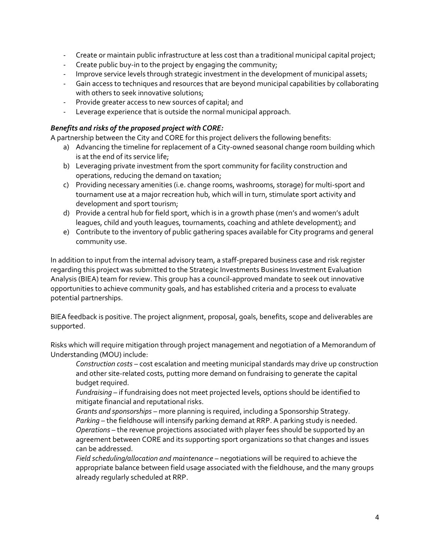- Create or maintain public infrastructure at less cost than a traditional municipal capital project;
- Create public buy-in to the project by engaging the community;
- Improve service levels through strategic investment in the development of municipal assets;
- Gain access to techniques and resources that are beyond municipal capabilities by collaborating with others to seek innovative solutions;
- Provide greater access to new sources of capital; and
- Leverage experience that is outside the normal municipal approach.

## *Benefits and risks of the proposed project with CORE:*

A partnership between the City and CORE for this project delivers the following benefits:

- a) Advancing the timeline for replacement of a City-owned seasonal change room building which is at the end of its service life;
- b) Leveraging private investment from the sport community for facility construction and operations, reducing the demand on taxation;
- c) Providing necessary amenities (i.e. change rooms, washrooms, storage) for multi-sport and tournament use at a major recreation hub, which will in turn, stimulate sport activity and development and sport tourism;
- d) Provide a central hub for field sport, which is in a growth phase (men's and women's adult leagues, child and youth leagues, tournaments, coaching and athlete development); and
- e) Contribute to the inventory of public gathering spaces available for City programs and general community use.

In addition to input from the internal advisory team, a staff-prepared business case and risk register regarding this project was submitted to the Strategic Investments Business Investment Evaluation Analysis (BIEA) team for review. This group has a council-approved mandate to seek out innovative opportunities to achieve community goals, and has established criteria and a process to evaluate potential partnerships.

BIEA feedback is positive. The project alignment, proposal, goals, benefits, scope and deliverables are supported.

Risks which will require mitigation through project management and negotiation of a Memorandum of Understanding (MOU) include:

*Construction costs* – cost escalation and meeting municipal standards may drive up construction and other site-related costs, putting more demand on fundraising to generate the capital budget required.

*Fundraising* – if fundraising does not meet projected levels, options should be identified to mitigate financial and reputational risks.

*Grants and sponsorships* – more planning is required, including a Sponsorship Strategy. *Parking* – the fieldhouse will intensify parking demand at RRP. A parking study is needed. *Operations* – the revenue projections associated with player fees should be supported by an agreement between CORE and its supporting sport organizations so that changes and issues can be addressed.

*Field scheduling/allocation and maintenance* – negotiations will be required to achieve the appropriate balance between field usage associated with the fieldhouse, and the many groups already regularly scheduled at RRP.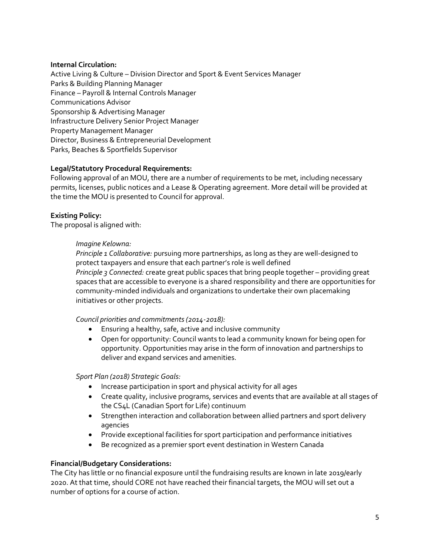# **Internal Circulation:**

Active Living & Culture – Division Director and Sport & Event Services Manager Parks & Building Planning Manager Finance – Payroll & Internal Controls Manager Communications Advisor Sponsorship & Advertising Manager Infrastructure Delivery Senior Project Manager Property Management Manager Director, Business & Entrepreneurial Development Parks, Beaches & Sportfields Supervisor

# **Legal/Statutory Procedural Requirements:**

Following approval of an MOU, there are a number of requirements to be met, including necessary permits, licenses, public notices and a Lease & Operating agreement. More detail will be provided at the time the MOU is presented to Council for approval.

# **Existing Policy:**

The proposal is aligned with:

# *Imagine Kelowna:*

*Principle 1 Collaborative:* pursuing more partnerships, as long as they are well-designed to protect taxpayers and ensure that each partner's role is well defined *Principle 3 Connected:* create great public spaces that bring people together – providing great spaces that are accessible to everyone is a shared responsibility and there are opportunities for community-minded individuals and organizations to undertake their own placemaking initiatives or other projects.

# *Council priorities and commitments (2014-2018):*

- Ensuring a healthy, safe, active and inclusive community
- Open for opportunity: Council wants to lead a community known for being open for opportunity. Opportunities may arise in the form of innovation and partnerships to deliver and expand services and amenities.

#### *Sport Plan (2018) Strategic Goals:*

- Increase participation in sport and physical activity for all ages
- Create quality, inclusive programs, services and events that are available at all stages of the CS4L (Canadian Sport for Life) continuum
- Strengthen interaction and collaboration between allied partners and sport delivery agencies
- Provide exceptional facilities for sport participation and performance initiatives
- Be recognized as a premier sport event destination in Western Canada

# **Financial/Budgetary Considerations:**

The City has little or no financial exposure until the fundraising results are known in late 2019/early 2020. At that time, should CORE not have reached their financial targets, the MOU will set out a number of options for a course of action.